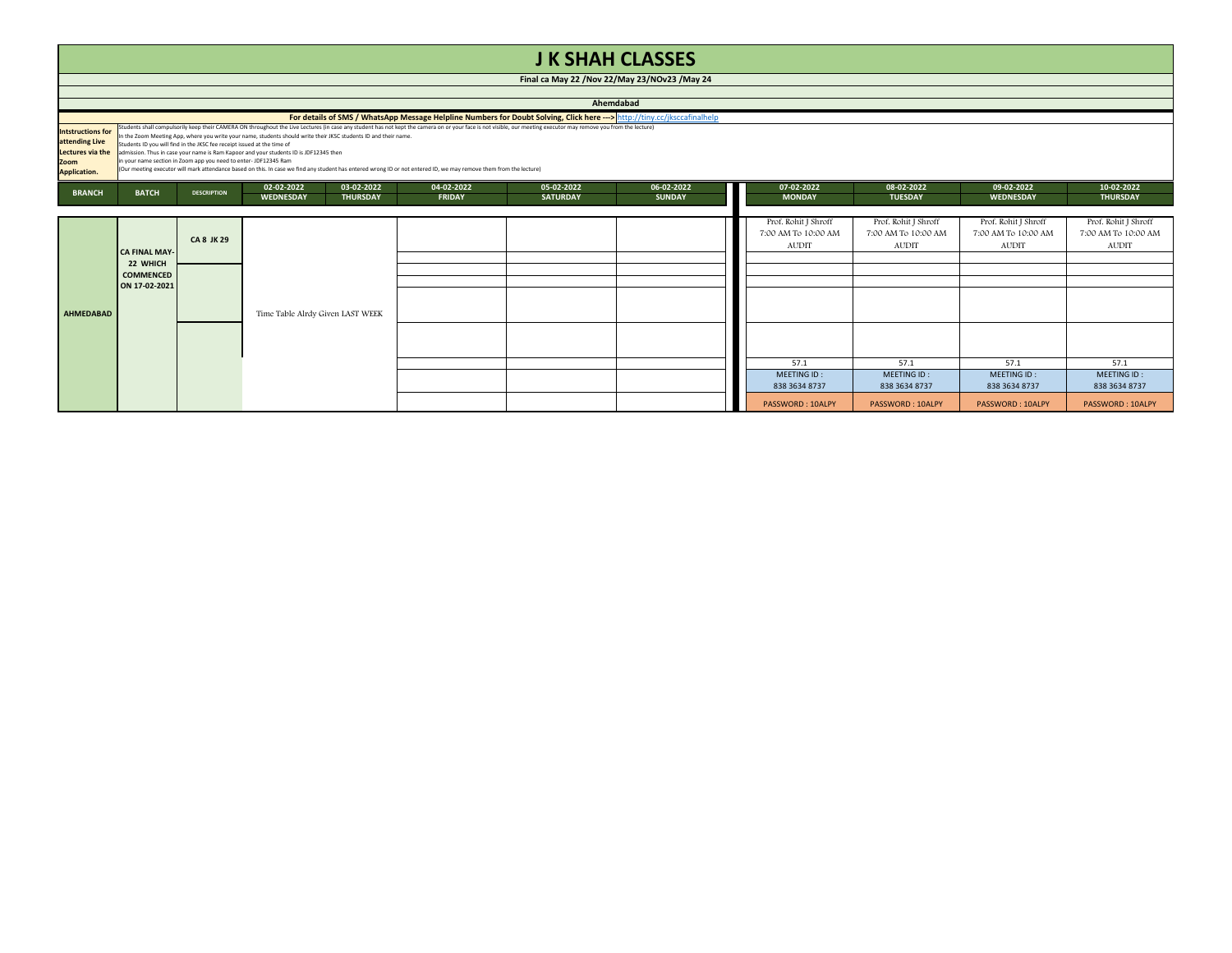|                                                                                        | <b>JK SHAH CLASSES</b>                                                                                                                                                                                                                                                                                                                                                                                                                                                                                                                                                                                                                                                                                                                                                                                                                                                         |                    |                                  |                               |                             |                               |                                                             |                                                             |                                                             |                                                             |                               |  |  |
|----------------------------------------------------------------------------------------|--------------------------------------------------------------------------------------------------------------------------------------------------------------------------------------------------------------------------------------------------------------------------------------------------------------------------------------------------------------------------------------------------------------------------------------------------------------------------------------------------------------------------------------------------------------------------------------------------------------------------------------------------------------------------------------------------------------------------------------------------------------------------------------------------------------------------------------------------------------------------------|--------------------|----------------------------------|-------------------------------|-----------------------------|-------------------------------|-------------------------------------------------------------|-------------------------------------------------------------|-------------------------------------------------------------|-------------------------------------------------------------|-------------------------------|--|--|
|                                                                                        | Final ca May 22 / Nov 22/May 23/NOv23 / May 24                                                                                                                                                                                                                                                                                                                                                                                                                                                                                                                                                                                                                                                                                                                                                                                                                                 |                    |                                  |                               |                             |                               |                                                             |                                                             |                                                             |                                                             |                               |  |  |
|                                                                                        | Ahemdabad                                                                                                                                                                                                                                                                                                                                                                                                                                                                                                                                                                                                                                                                                                                                                                                                                                                                      |                    |                                  |                               |                             |                               |                                                             |                                                             |                                                             |                                                             |                               |  |  |
| <b>Intstructions for</b><br>attending Live<br>Lectures via the<br>Zoom<br>Application. | For details of SMS / WhatsApp Message Helpline Numbers for Doubt Solving, Click here ---> http://tinv.cc/iksccafinalhelp<br>Students shall compulsorily keep their CAMERA ON throughout the Live Lectures (in case any student has not kept the camera on or your face is not visible, our meeting executor may remove you from the lecture)<br>In the Zoom Meeting App, where you write your name, students should write their JKSC students ID and their name.<br>Students ID you will find in the JKSC fee receipt issued at the time of<br>admission. Thus in case your name is Ram Kapoor and your students ID is JDF12345 then<br>in your name section in Zoom app you need to enter- JDF12345 Ram<br>(Our meeting executor will mark attendance based on this. In case we find any student has entered wrong ID or not entered ID, we may remove them from the lecture) |                    |                                  |                               |                             |                               |                                                             |                                                             |                                                             |                                                             |                               |  |  |
| <b>BRANCH</b>                                                                          | <b>BATCH</b>                                                                                                                                                                                                                                                                                                                                                                                                                                                                                                                                                                                                                                                                                                                                                                                                                                                                   | <b>DESCRIPTION</b> | 02-02-2022<br><b>WEDNESDAY</b>   | 03-02-2022<br><b>THURSDAY</b> | 04-02-2022<br><b>FRIDAY</b> | 05-02-2022<br><b>SATURDAY</b> | 06-02-2022<br><b>SUNDAY</b>                                 | 07-02-2022<br><b>MONDAY</b>                                 | 08-02-2022<br><b>TUESDAY</b>                                | 09-02-2022<br><b>WEDNESDAY</b>                              | 10-02-2022<br><b>THURSDAY</b> |  |  |
|                                                                                        |                                                                                                                                                                                                                                                                                                                                                                                                                                                                                                                                                                                                                                                                                                                                                                                                                                                                                |                    |                                  |                               |                             |                               |                                                             |                                                             |                                                             |                                                             |                               |  |  |
|                                                                                        | <b>CA FINAL MAY-</b>                                                                                                                                                                                                                                                                                                                                                                                                                                                                                                                                                                                                                                                                                                                                                                                                                                                           | <b>CA 8 JK 29</b>  |                                  |                               |                             |                               | Prof. Rohit J Shroff<br>7:00 AM To 10:00 AM<br><b>AUDIT</b> | Prof. Rohit J Shroff<br>7:00 AM To 10:00 AM<br><b>AUDIT</b> | Prof. Rohit J Shroff<br>7:00 AM To 10:00 AM<br><b>AUDIT</b> | Prof. Rohit J Shroff<br>7:00 AM To 10:00 AM<br><b>AUDIT</b> |                               |  |  |
|                                                                                        | 22 WHICH<br><b>COMMENCED</b>                                                                                                                                                                                                                                                                                                                                                                                                                                                                                                                                                                                                                                                                                                                                                                                                                                                   |                    |                                  |                               |                             |                               |                                                             |                                                             |                                                             |                                                             |                               |  |  |
| AHMEDABAD                                                                              | ON 17-02-2021                                                                                                                                                                                                                                                                                                                                                                                                                                                                                                                                                                                                                                                                                                                                                                                                                                                                  |                    | Time Table Alrdy Given LAST WEEK |                               |                             |                               |                                                             |                                                             |                                                             |                                                             |                               |  |  |
|                                                                                        |                                                                                                                                                                                                                                                                                                                                                                                                                                                                                                                                                                                                                                                                                                                                                                                                                                                                                |                    |                                  |                               |                             |                               |                                                             |                                                             |                                                             |                                                             |                               |  |  |
|                                                                                        |                                                                                                                                                                                                                                                                                                                                                                                                                                                                                                                                                                                                                                                                                                                                                                                                                                                                                |                    |                                  |                               |                             |                               |                                                             | 57.1                                                        | 57.1                                                        | 57.1                                                        | 57.1                          |  |  |
|                                                                                        |                                                                                                                                                                                                                                                                                                                                                                                                                                                                                                                                                                                                                                                                                                                                                                                                                                                                                |                    |                                  |                               |                             |                               |                                                             | MEETING ID:<br>838 3634 8737                                | MEETING ID:<br>838 3634 8737                                | MEETING ID:<br>838 3634 8737                                | MEETING ID:<br>838 3634 8737  |  |  |
|                                                                                        |                                                                                                                                                                                                                                                                                                                                                                                                                                                                                                                                                                                                                                                                                                                                                                                                                                                                                |                    |                                  |                               |                             |                               |                                                             | PASSWORD: 10ALPY                                            | PASSWORD: 10ALPY                                            | PASSWORD: 10ALPY                                            | PASSWORD: 10ALPY              |  |  |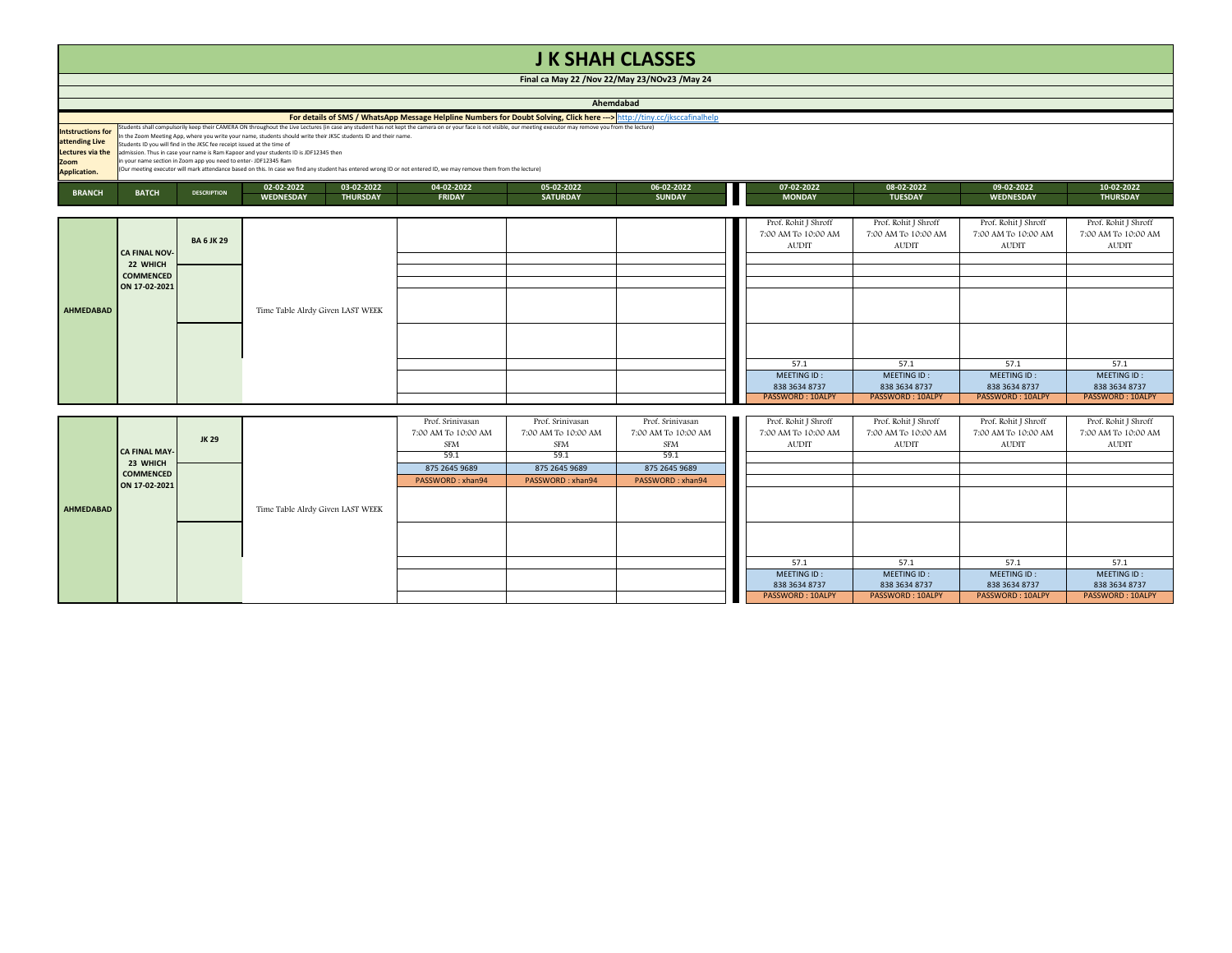|                                                                                        |                                                                                                                                                                                                                                                                                                                                                                                                                                                                                                                                                                                                                                                                                                                                                    |                    |                                  |                 |               |                 | <b>J K SHAH CLASSES</b> |                                                             |                                                             |                                                             |                                                             |  |  |
|----------------------------------------------------------------------------------------|----------------------------------------------------------------------------------------------------------------------------------------------------------------------------------------------------------------------------------------------------------------------------------------------------------------------------------------------------------------------------------------------------------------------------------------------------------------------------------------------------------------------------------------------------------------------------------------------------------------------------------------------------------------------------------------------------------------------------------------------------|--------------------|----------------------------------|-----------------|---------------|-----------------|-------------------------|-------------------------------------------------------------|-------------------------------------------------------------|-------------------------------------------------------------|-------------------------------------------------------------|--|--|
|                                                                                        | Final ca May 22 / Nov 22/May 23/NOv23 / May 24                                                                                                                                                                                                                                                                                                                                                                                                                                                                                                                                                                                                                                                                                                     |                    |                                  |                 |               |                 |                         |                                                             |                                                             |                                                             |                                                             |  |  |
|                                                                                        |                                                                                                                                                                                                                                                                                                                                                                                                                                                                                                                                                                                                                                                                                                                                                    |                    |                                  |                 |               |                 |                         |                                                             |                                                             |                                                             |                                                             |  |  |
|                                                                                        | Ahemdabad                                                                                                                                                                                                                                                                                                                                                                                                                                                                                                                                                                                                                                                                                                                                          |                    |                                  |                 |               |                 |                         |                                                             |                                                             |                                                             |                                                             |  |  |
|                                                                                        | For details of SMS / WhatsApp Message Helpline Numbers for Doubt Solving, Click here ---> http://tinv.cc/iksccafinalhelp                                                                                                                                                                                                                                                                                                                                                                                                                                                                                                                                                                                                                           |                    |                                  |                 |               |                 |                         |                                                             |                                                             |                                                             |                                                             |  |  |
| <b>Intstructions for</b><br>attending Live<br>Lectures via the<br>Zoom<br>Application. | Students shall compulsorily keep their CAMERA ON throughout the Live Lectures (in case any student has not kept the camera on or your face is not visible, our meeting executor may remove you from the lecture)<br>In the Zoom Meeting App, where you write your name, students should write their JKSC students ID and their name.<br>Students ID you will find in the JKSC fee receipt issued at the time of<br>admission. Thus in case your name is Ram Kapoor and your students ID is JDF12345 then<br>in your name section in Zoom app you need to enter- JDF12345 Ram<br>(Our meeting executor will mark attendance based on this. In case we find any student has entered wrong ID or not entered ID, we may remove them from the lecture) |                    |                                  |                 |               |                 |                         |                                                             |                                                             |                                                             |                                                             |  |  |
|                                                                                        |                                                                                                                                                                                                                                                                                                                                                                                                                                                                                                                                                                                                                                                                                                                                                    |                    | 02-02-2022                       | 03-02-2022      | 04-02-2022    | 05-02-2022      | 06-02-2022              | 07-02-2022                                                  | 08-02-2022                                                  | 09-02-2022                                                  | 10-02-2022                                                  |  |  |
| <b>BRANCH</b>                                                                          | <b>BATCH</b>                                                                                                                                                                                                                                                                                                                                                                                                                                                                                                                                                                                                                                                                                                                                       | <b>DESCRIPTION</b> | <b>WEDNESDAY</b>                 | <b>THURSDAY</b> | <b>FRIDAY</b> | <b>SATURDAY</b> | <b>SUNDAY</b>           | <b>MONDAY</b>                                               | <b>TUESDAY</b>                                              | <b>WEDNESDAY</b>                                            | <b>THURSDAY</b>                                             |  |  |
|                                                                                        |                                                                                                                                                                                                                                                                                                                                                                                                                                                                                                                                                                                                                                                                                                                                                    |                    |                                  |                 |               |                 |                         |                                                             |                                                             |                                                             |                                                             |  |  |
|                                                                                        | <b>CA FINAL NOV-</b>                                                                                                                                                                                                                                                                                                                                                                                                                                                                                                                                                                                                                                                                                                                               | <b>BA 6 JK 29</b>  |                                  |                 |               |                 |                         | Prof. Rohit J Shroff<br>7:00 AM To 10:00 AM<br><b>AUDIT</b> | Prof. Rohit J Shroff<br>7:00 AM To 10:00 AM<br><b>AUDIT</b> | Prof. Rohit J Shroff<br>7:00 AM To 10:00 AM<br><b>AUDIT</b> | Prof. Rohit J Shroff<br>7:00 AM To 10:00 AM<br><b>AUDIT</b> |  |  |
|                                                                                        | 22 WHICH                                                                                                                                                                                                                                                                                                                                                                                                                                                                                                                                                                                                                                                                                                                                           |                    |                                  |                 |               |                 |                         |                                                             |                                                             |                                                             |                                                             |  |  |
|                                                                                        | <b>COMMENCED</b>                                                                                                                                                                                                                                                                                                                                                                                                                                                                                                                                                                                                                                                                                                                                   |                    |                                  |                 |               |                 |                         |                                                             |                                                             |                                                             |                                                             |  |  |
| <b>AHMEDABAD</b>                                                                       | ON 17-02-2021                                                                                                                                                                                                                                                                                                                                                                                                                                                                                                                                                                                                                                                                                                                                      |                    | Time Table Alrdy Given LAST WEEK |                 |               |                 |                         |                                                             |                                                             |                                                             |                                                             |  |  |
|                                                                                        |                                                                                                                                                                                                                                                                                                                                                                                                                                                                                                                                                                                                                                                                                                                                                    |                    |                                  |                 |               |                 |                         |                                                             |                                                             |                                                             |                                                             |  |  |
|                                                                                        |                                                                                                                                                                                                                                                                                                                                                                                                                                                                                                                                                                                                                                                                                                                                                    |                    |                                  |                 |               |                 |                         | 57.1                                                        | 57.1                                                        | 57.1                                                        | 57.1                                                        |  |  |
|                                                                                        |                                                                                                                                                                                                                                                                                                                                                                                                                                                                                                                                                                                                                                                                                                                                                    |                    |                                  |                 |               |                 |                         | MEETING ID:<br>838 3634 8737                                | MEETING ID:<br>838 3634 8737                                | MEETING ID:<br>838 3634 8737                                | MEETING ID:<br>838 3634 8737                                |  |  |
|                                                                                        |                                                                                                                                                                                                                                                                                                                                                                                                                                                                                                                                                                                                                                                                                                                                                    |                    |                                  |                 |               |                 |                         | <b>PASSWORD: 10ALPY</b>                                     | PASSWORD: 10ALPY                                            | PASSWORD: 10ALPY                                            | PASSWORD: 10ALPY                                            |  |  |

|           |                                  |       |                                  | Prof. Srinivasan    | Prof. Srinivasan    | Prof. Srinivasan    | Prof. Rohit J Shroff    | Prof. Rohit J Shroff | Prof. Rohit J Shroff | Prof. Rohit J Shroff |
|-----------|----------------------------------|-------|----------------------------------|---------------------|---------------------|---------------------|-------------------------|----------------------|----------------------|----------------------|
|           |                                  | JK 29 |                                  | 7:00 AM To 10:00 AM | 7:00 AM To 10:00 AM | 7:00 AM To 10:00 AM | 7:00 AM To 10:00 AM     | 7:00 AM To 10:00 AM  | 7:00 AM To 10:00 AM  | 7:00 AM To 10:00 AM  |
|           |                                  |       |                                  | SFM                 | SFM                 | SFM                 | AUDIT                   | AUDIT                | AUDIT                | <b>AUDIT</b>         |
|           | <b>CA FINAL MAY-</b><br>23 WHICH |       |                                  | 59.1                | 59.1                | 59.1                |                         |                      |                      |                      |
|           | <b>COMMENCED</b>                 |       |                                  | 875 2645 9689       | 875 2645 9689       | 875 2645 9689       |                         |                      |                      |                      |
|           | ON 17-02-2021                    |       |                                  | PASSWORD: xhan94    | PASSWORD: xhan94    | PASSWORD: xhan94    |                         |                      |                      |                      |
|           |                                  |       | Time Table Alrdy Given LAST WEEK |                     |                     |                     |                         |                      |                      |                      |
| AHMEDABAD |                                  |       |                                  |                     |                     |                     |                         |                      |                      |                      |
|           |                                  |       |                                  |                     |                     |                     |                         |                      |                      |                      |
|           |                                  |       |                                  |                     |                     |                     |                         |                      |                      |                      |
|           |                                  |       |                                  |                     |                     |                     |                         |                      |                      |                      |
|           |                                  |       |                                  |                     |                     |                     |                         |                      |                      |                      |
|           |                                  |       |                                  |                     |                     |                     | 57.1                    | 57.1                 | 57.1                 | 57.1                 |
|           |                                  |       |                                  |                     |                     |                     | MEETING ID:             | MEETING ID:          | MEETING ID:          | MEETING ID:          |
|           |                                  |       |                                  |                     |                     |                     | 838 3634 8737           | 838 3634 8737        | 838 3634 8737        | 838 3634 8737        |
|           |                                  |       |                                  |                     |                     |                     | <b>PASSWORD: 10ALPY</b> | PASSWORD: 10ALPY     | PASSWORD: 10ALPY     | PASSWORD: 10ALPY     |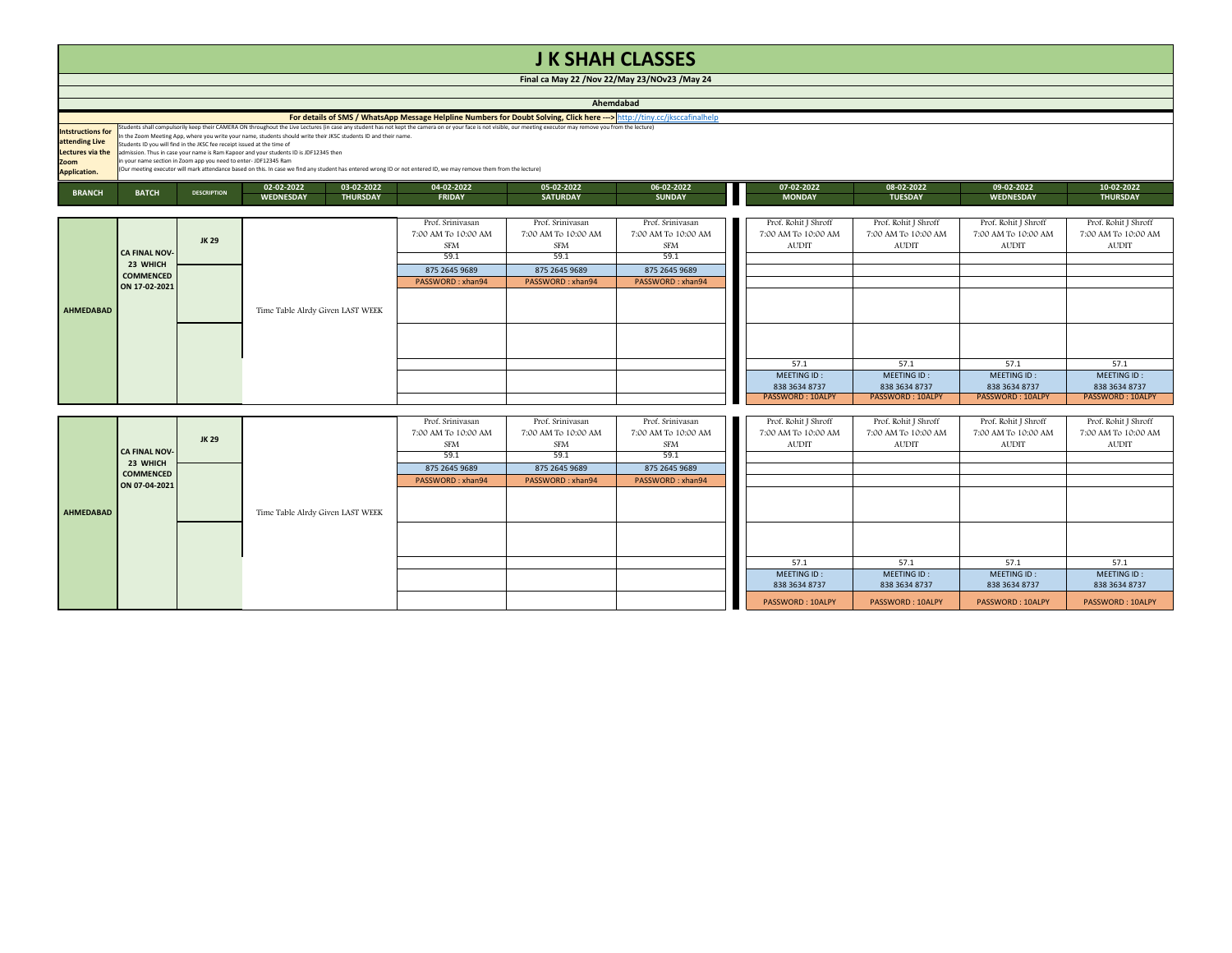## **J K SHAH CLASSES**

**Final ca May 22 /Nov 22/May 23/NOv23 /May 24**

|                                                                                        | Ahemdabad                                                                                                                                                                                                                                                                                                                                                                                                                                                                                                                                                                                                                                                                                                                                         |                    |                                                                 |                                                                                                    |                                                                                             |                                                                                             |  |                                                             |                                                                 |                                                             |                                                                 |  |  |
|----------------------------------------------------------------------------------------|---------------------------------------------------------------------------------------------------------------------------------------------------------------------------------------------------------------------------------------------------------------------------------------------------------------------------------------------------------------------------------------------------------------------------------------------------------------------------------------------------------------------------------------------------------------------------------------------------------------------------------------------------------------------------------------------------------------------------------------------------|--------------------|-----------------------------------------------------------------|----------------------------------------------------------------------------------------------------|---------------------------------------------------------------------------------------------|---------------------------------------------------------------------------------------------|--|-------------------------------------------------------------|-----------------------------------------------------------------|-------------------------------------------------------------|-----------------------------------------------------------------|--|--|
|                                                                                        | For details of SMS / WhatsApp Message Helpline Numbers for Doubt Solving, Click here ---> http://tiny.cc/jksccafinalhelp                                                                                                                                                                                                                                                                                                                                                                                                                                                                                                                                                                                                                          |                    |                                                                 |                                                                                                    |                                                                                             |                                                                                             |  |                                                             |                                                                 |                                                             |                                                                 |  |  |
| <b>Intstructions for</b><br>attending Live<br>Lectures via the<br>Zoom<br>Application. | Students shall compulsorily keep their CAMERA ON throughout the Live Lectures (in case any student has not kept the camera on or your face is not visible, our meeting executor may remove you from the lecture)<br>in the Zoom Meeting App, where you write your name, students should write their JKSC students ID and their name.<br>Students ID you will find in the JKSC fee receipt issued at the time of<br>admission. Thus in case your name is Ram Kapoor and your students ID is JDF12345 then<br>n your name section in Zoom app you need to enter- JDF12345 Ram<br>(Our meeting executor will mark attendance based on this. In case we find any student has entered wrong ID or not entered ID, we may remove them from the lecture) |                    |                                                                 |                                                                                                    |                                                                                             |                                                                                             |  |                                                             |                                                                 |                                                             |                                                                 |  |  |
| <b>BRANCH</b>                                                                          | <b>BATCH</b>                                                                                                                                                                                                                                                                                                                                                                                                                                                                                                                                                                                                                                                                                                                                      | <b>DESCRIPTION</b> | 02-02-2022<br>03-02-2022<br><b>WEDNESDAY</b><br><b>THURSDAY</b> | 04-02-2022<br><b>FRIDAY</b>                                                                        | 05-02-2022<br><b>SATURDAY</b>                                                               | 06-02-2022<br><b>SUNDAY</b>                                                                 |  | 07-02-2022<br><b>MONDAY</b>                                 | 08-02-2022<br><b>TUESDAY</b>                                    | 09-02-2022<br><b>WEDNESDAY</b>                              | 10-02-2022<br><b>THURSDAY</b>                                   |  |  |
| AHMEDABAD                                                                              | <b>CA FINAL NOV-</b><br>23 WHICH<br><b>COMMENCED</b><br>ON 17-02-2021                                                                                                                                                                                                                                                                                                                                                                                                                                                                                                                                                                                                                                                                             | <b>JK29</b>        |                                                                 | Prof. Srinivasan<br>7:00 AM To 10:00 AM<br><b>SFM</b><br>59.1<br>875 2645 9689<br>PASSWORD: xhan94 | Prof. Srinivasan<br>7:00 AM To 10:00 AM<br>SFM<br>59.1<br>875 2645 9689<br>PASSWORD: xhan94 | Prof. Srinivasan<br>7:00 AM To 10:00 AM<br>SFM<br>59.1<br>875 2645 9689<br>PASSWORD: xhan94 |  | Prof. Rohit J Shroff<br>7:00 AM To 10:00 AM<br>AUDIT        | Prof. Rohit J Shroff<br>7:00 AM To 10:00 AM<br><b>AUDIT</b>     | Prof. Rohit J Shroff<br>7:00 AM To 10:00 AM<br><b>AUDIT</b> | Prof. Rohit J Shroff<br>7:00 AM To 10:00 AM<br><b>AUDIT</b>     |  |  |
|                                                                                        |                                                                                                                                                                                                                                                                                                                                                                                                                                                                                                                                                                                                                                                                                                                                                   |                    | Time Table Alrdy Given LAST WEEK                                |                                                                                                    |                                                                                             |                                                                                             |  | 57.1<br>MEETING ID:<br>838 3634 8737<br>PASSWORD: 10ALPY    | 57.1<br>MEETING ID:<br>838 3634 8737<br><b>PASSWORD: 10ALPY</b> | 57.1<br>MEETING ID:<br>838 3634 8737<br>PASSWORD: 10ALPY    | 57.1<br>MEETING ID:<br>838 3634 8737<br><b>PASSWORD: 10ALPY</b> |  |  |
|                                                                                        | <b>CA FINAL NOV-</b>                                                                                                                                                                                                                                                                                                                                                                                                                                                                                                                                                                                                                                                                                                                              | <b>JK29</b>        |                                                                 | Prof. Srinivasan<br>7:00 AM To 10:00 AM<br><b>SFM</b><br>59.1                                      | Prof. Srinivasan<br>7:00 AM To 10:00 AM<br><b>SFM</b><br>59.1                               | Prof. Srinivasan<br>7:00 AM To 10:00 AM<br><b>SFM</b><br>59.1                               |  | Prof. Rohit J Shroff<br>7:00 AM To 10:00 AM<br><b>AUDIT</b> | Prof. Rohit J Shroff<br>7:00 AM To 10:00 AM<br><b>AUDIT</b>     | Prof. Rohit J Shroff<br>7:00 AM To 10:00 AM<br><b>AUDIT</b> | Prof. Rohit J Shroff<br>7:00 AM To 10:00 AM<br><b>AUDIT</b>     |  |  |
| <b>AHMEDABAD</b>                                                                       | 23 WHICH<br><b>COMMENCED</b><br>ON 07-04-2021                                                                                                                                                                                                                                                                                                                                                                                                                                                                                                                                                                                                                                                                                                     |                    | Time Table Alrdy Given LAST WEEK                                | 875 2645 9689<br>PASSWORD: xhan94                                                                  | 875 2645 9689<br>PASSWORD: xhan94                                                           | 875 2645 9689<br>PASSWORD: xhan94                                                           |  |                                                             |                                                                 |                                                             |                                                                 |  |  |
|                                                                                        |                                                                                                                                                                                                                                                                                                                                                                                                                                                                                                                                                                                                                                                                                                                                                   |                    |                                                                 |                                                                                                    |                                                                                             |                                                                                             |  | 57.1                                                        | 57.1                                                            | 57.1                                                        | 57.1                                                            |  |  |
|                                                                                        |                                                                                                                                                                                                                                                                                                                                                                                                                                                                                                                                                                                                                                                                                                                                                   |                    |                                                                 |                                                                                                    |                                                                                             |                                                                                             |  | MEETING ID:<br>838 3634 8737<br>PASSWORD: 10ALPY            | MEETING ID:<br>838 3634 8737<br>PASSWORD: 10ALPY                | MEETING ID:<br>838 3634 8737<br>PASSWORD: 10ALPY            | MEETING ID:<br>838 3634 8737<br>PASSWORD: 10ALPY                |  |  |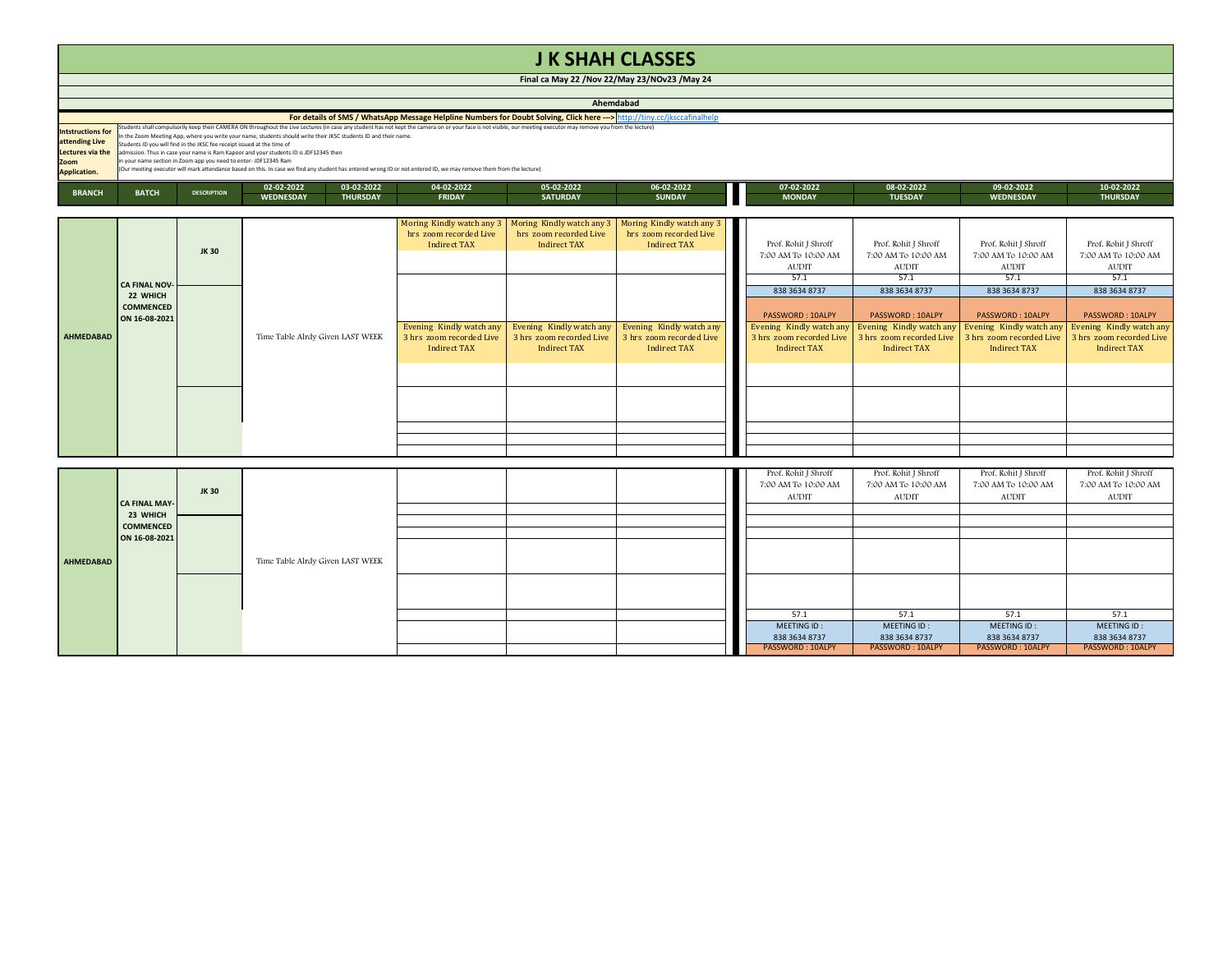| <b>JK SHAH CLASSES</b>                         |
|------------------------------------------------|
| Final ca May 22 / Nov 22/May 23/NOv23 / May 24 |
|                                                |

|                          | Ahemdabad                                                                                                                                                          |                                                                                                                                                                                                                  |            |                 |               |                 |               |      |               |                |                  |                 |  |
|--------------------------|--------------------------------------------------------------------------------------------------------------------------------------------------------------------|------------------------------------------------------------------------------------------------------------------------------------------------------------------------------------------------------------------|------------|-----------------|---------------|-----------------|---------------|------|---------------|----------------|------------------|-----------------|--|
|                          | For details of SMS / WhatsApp Message Helpline Numbers for Doubt Solving, Click here ---> http://tiny.cc/jksccafinalhelp                                           |                                                                                                                                                                                                                  |            |                 |               |                 |               |      |               |                |                  |                 |  |
| <b>Intstructions for</b> |                                                                                                                                                                    | Students shall compulsorily keep their CAMERA ON throughout the Live Lectures (in case any student has not kept the camera on or your face is not visible, our meeting executor may remove you from the lecture) |            |                 |               |                 |               |      |               |                |                  |                 |  |
|                          |                                                                                                                                                                    | In the Zoom Meeting App, where you write your name, students should write their JKSC students ID and their name.                                                                                                 |            |                 |               |                 |               |      |               |                |                  |                 |  |
| attending Live           |                                                                                                                                                                    | Students ID you will find in the JKSC fee receipt issued at the time of                                                                                                                                          |            |                 |               |                 |               |      |               |                |                  |                 |  |
|                          | Lectures via the admission. Thus in case your name is Ram Kapoor and your students ID is JDF12345 then                                                             |                                                                                                                                                                                                                  |            |                 |               |                 |               |      |               |                |                  |                 |  |
| Zoom                     |                                                                                                                                                                    | in your name section in Zoom app you need to enter-JDF12345 Ram                                                                                                                                                  |            |                 |               |                 |               |      |               |                |                  |                 |  |
| <b>Application.</b>      | (Our meeting executor will mark attendance based on this. In case we find any student has entered wrong ID or not entered ID, we may remove them from the lecture) |                                                                                                                                                                                                                  |            |                 |               |                 |               |      |               |                |                  |                 |  |
| <b>BRANCH</b>            | <b>BATCH</b>                                                                                                                                                       | <b>DESCRIPTION</b>                                                                                                                                                                                               | 02-02-2022 | 03-02-2022      | 04-02-2022    | 05-02-2022      | 06-02-2022    | a ka | 07-02-2022    | 08-02-2022     | 09-02-2022       | 10-02-2022      |  |
|                          |                                                                                                                                                                    |                                                                                                                                                                                                                  | WEDNESDAY  | <b>THURSDAY</b> | <b>FRIDAY</b> | <b>SATURDAY</b> | <b>SUNDAY</b> |      | <b>MONDAY</b> | <b>TUESDAY</b> | <b>WEDNESDAY</b> | <b>THURSDAY</b> |  |

|           | <b>CA FINAL NOV-</b><br>22 WHICH<br><b>COMMENCED</b><br>ON 16-08-2021 | JK 30       |                                  | hrs zoom recorded Live<br><b>Indirect TAX</b>   | Moring Kindly watch any 3   Moring Kindly watch any 3   Moring Kindly watch any 3<br>hrs zoom recorded Live<br><b>Indirect TAX</b> | hrs zoom recorded Live<br><b>Indirect TAX</b>   | Prof. Rohit J Shroff<br>7:00 AM To 10:00 AM<br><b>AUDIT</b><br>57.1 | Prof. Rohit J Shroff<br>7:00 AM To 10:00 AM<br><b>AUDIT</b><br>57.1 | Prof. Rohit J Shroff<br>7:00 AM To 10:00 AM<br><b>AUDIT</b><br>57.1 | Prof. Rohit J Shroff<br>7:00 AM To 10:00 AM<br><b>AUDIT</b><br>57.1 |
|-----------|-----------------------------------------------------------------------|-------------|----------------------------------|-------------------------------------------------|------------------------------------------------------------------------------------------------------------------------------------|-------------------------------------------------|---------------------------------------------------------------------|---------------------------------------------------------------------|---------------------------------------------------------------------|---------------------------------------------------------------------|
|           |                                                                       |             | Time Table Alrdy Given LAST WEEK | Evening Kindly watch any                        | Evening Kindly watch any                                                                                                           | Evening Kindly watch any                        | 838 3634 8737<br>PASSWORD: 10ALPY<br>Evening Kindly watch any       | 838 3634 8737<br>PASSWORD: 10ALPY<br>Evening Kindly watch any       | 838 3634 8737<br>PASSWORD: 10ALPY<br>Evening Kindly watch any       | 838 3634 8737<br>PASSWORD: 10ALPY<br>Evening Kindly watch any       |
| AHMEDABAD |                                                                       |             |                                  | 3 hrs zoom recorded Live<br><b>Indirect TAX</b> | 3 hrs zoom recorded Live<br><b>Indirect TAX</b>                                                                                    | 3 hrs zoom recorded Live<br><b>Indirect TAX</b> | 3 hrs zoom recorded Live<br><b>Indirect TAX</b>                     | 3 hrs zoom recorded Live<br><b>Indirect TAX</b>                     | 3 hrs zoom recorded Live<br><b>Indirect TAX</b>                     | 3 hrs zoom recorded Live<br>Indirect TAX                            |
|           |                                                                       |             |                                  |                                                 |                                                                                                                                    |                                                 |                                                                     |                                                                     |                                                                     |                                                                     |
|           |                                                                       |             |                                  |                                                 |                                                                                                                                    |                                                 |                                                                     |                                                                     |                                                                     |                                                                     |
|           |                                                                       |             |                                  |                                                 |                                                                                                                                    |                                                 |                                                                     |                                                                     |                                                                     |                                                                     |
|           | <b>CA FINAL MAY-</b><br>23 WHICH                                      | <b>JK30</b> |                                  |                                                 |                                                                                                                                    |                                                 | Prof. Rohit J Shroff<br>7:00 AM To 10:00 AM<br>AUDIT                | Prof. Rohit J Shroff<br>7:00 AM To 10:00 AM<br><b>AUDIT</b>         | Prof. Rohit J Shroff<br>7:00 AM To 10:00 AM<br><b>AUDIT</b>         | Prof. Rohit J Shroff<br>7:00 AM To 10:00 AM<br><b>AUDIT</b>         |
|           | <b>COMMENCED</b>                                                      |             |                                  |                                                 |                                                                                                                                    |                                                 |                                                                     |                                                                     |                                                                     |                                                                     |
|           | ON 16-08-2021                                                         |             |                                  |                                                 |                                                                                                                                    |                                                 |                                                                     |                                                                     |                                                                     |                                                                     |
| AHMEDABAD |                                                                       |             | Time Table Alrdy Given LAST WEEK |                                                 |                                                                                                                                    |                                                 |                                                                     |                                                                     |                                                                     |                                                                     |
|           |                                                                       |             |                                  |                                                 |                                                                                                                                    |                                                 |                                                                     |                                                                     |                                                                     |                                                                     |
|           |                                                                       |             |                                  |                                                 |                                                                                                                                    |                                                 | 57.1                                                                | 57.1                                                                | 57.1                                                                | 57.1                                                                |
|           |                                                                       |             |                                  |                                                 |                                                                                                                                    |                                                 | MEETING ID:<br>838 3634 8737                                        | MEETING ID:<br>838 3634 8737                                        | MEETING ID:<br>838 3634 8737                                        | MEETING ID:<br>838 3634 8737                                        |
|           |                                                                       |             |                                  |                                                 |                                                                                                                                    |                                                 | <b>PASSWORD: 10ALPY</b>                                             | PASSWORD: 10ALPY                                                    | PASSWORD: 10ALPY                                                    | PASSWORD: 10ALPY                                                    |